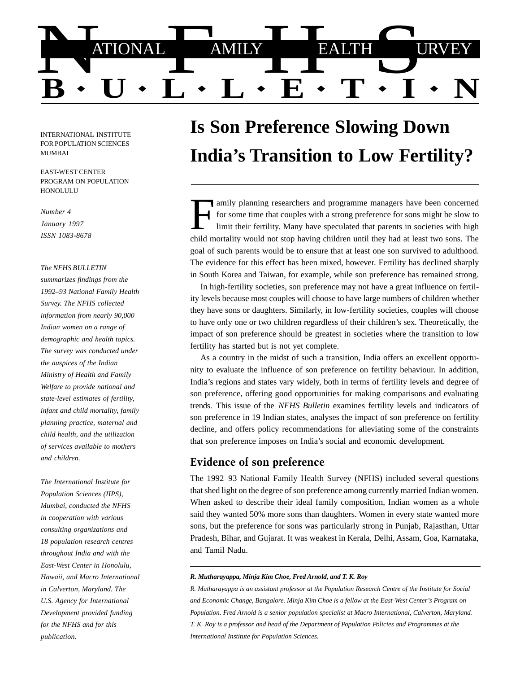

INTERNATIONAL INSTITUTE FOR POPULATION SCIENCES MUMBAI

EAST-WEST CENTER PROGRAM ON POPULATION **HONOLULU** 

#### *Number 4*

*January 1997 ISSN 1083-8678*

#### *The NFHS BULLETIN*

*summarizes findings from the 1992–93 National Family Health Survey. The NFHS collected information from nearly 90,000 Indian women on a range of demographic and health topics. The survey was conducted under the auspices of the Indian Ministry of Health and Family Welfare to provide national and state-level estimates of fertility, infant and child mortality, family planning practice, maternal and child health, and the utilization of services available to mothers and children.*

*The International Institute for Population Sciences (IIPS), Mumbai, conducted the NFHS in cooperation with various consulting organizations and 18 population research centres throughout India and with the East-West Center in Honolulu, Hawaii, and Macro International in Calverton, Maryland. The U.S. Agency for International Development provided funding for the NFHS and for this publication.*

# **Is Son Preference Slowing Down India's Transition to Low Fertility?**

amily planning researchers and programme managers have been concerned for some time that couples with a strong preference for sons might be slow to limit their fertility. Many have speculated that parents in societies with high child mortality would not stop having children until they had at least two sons. The goal of such parents would be to ensure that at least one son survived to adulthood. The evidence for this effect has been mixed, however. Fertility has declined sharply in South Korea and Taiwan, for example, while son preference has remained strong.

In high-fertility societies, son preference may not have a great influence on fertility levels because most couples will choose to have large numbers of children whether they have sons or daughters. Similarly, in low-fertility societies, couples will choose to have only one or two children regardless of their children's sex. Theoretically, the impact of son preference should be greatest in societies where the transition to low fertility has started but is not yet complete.

As a country in the midst of such a transition, India offers an excellent opportunity to evaluate the influence of son preference on fertility behaviour. In addition, India's regions and states vary widely, both in terms of fertility levels and degree of son preference, offering good opportunities for making comparisons and evaluating trends. This issue of the *NFHS Bulletin* examines fertility levels and indicators of son preference in 19 Indian states, analyses the impact of son preference on fertility decline, and offers policy recommendations for alleviating some of the constraints that son preference imposes on India's social and economic development.

## Evidence of son preference

The 1992–93 National Family Health Survey (NFHS) included several questions that shed light on the degree of son preference among currently married Indian women. When asked to describe their ideal family composition, Indian women as a whole said they wanted 50% more sons than daughters. Women in every state wanted more sons, but the preference for sons was particularly strong in Punjab, Rajasthan, Uttar Pradesh, Bihar, and Gujarat. It was weakest in Kerala, Delhi, Assam, Goa, Karnataka, and Tamil Nadu.

#### *R. Mutharayappa, Minja Kim Choe, Fred Arnold, and T. K. Roy*

*R. Mutharayappa is an assistant professor at the Population Research Centre of the Institute for Social and Economic Change, Bangalore. Minja Kim Choe is a fellow at the East-West Center's Program on Population. Fred Arnold is a senior population specialist at Macro International, Calverton, Maryland. T. K. Roy is a professor and head of the Department of Population Policies and Programmes at the International Institute for Population Sciences.*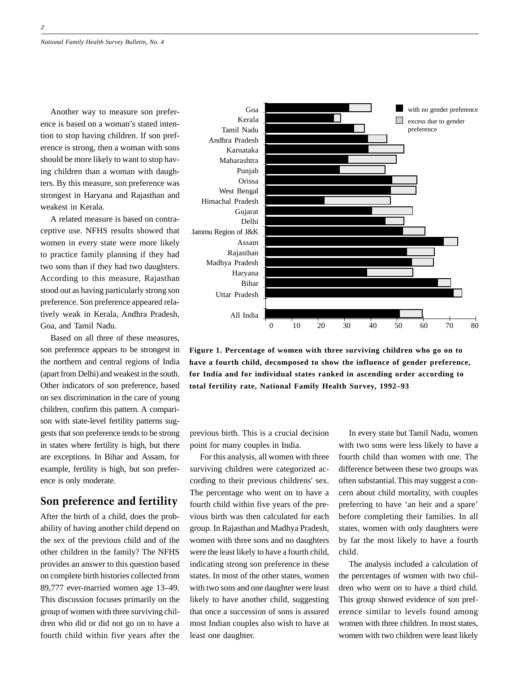Another way to measure son preference is based on a woman's stated intention to stop having children. If son preference is strong, then a woman with sons should be more likely to want to stop having children than a woman with daughters. By this measure, son preference was strongest in Haryana and Rajasthan and weakest in Kerala.

A related measure is based on contraceptive use. NFHS results showed that women in every state were more likely to practice family planning if they had two sons than if they had two daughters. According to this measure, Rajasthan stood out as having particularly strong son preference. Son preference appeared relatively weak in Kerala, Andhra Pradesh, Goa, and Tamil Nadu.

Based on all three of these measures, son preference appears to be strongest in the northern and central regions of India (apart from Delhi) and weakest in the south. Other indicators of son preference, based on sex discrimination in the care of young children, confirm this pattern. A comparison with state-level fertility patterns suggests that son preference tends to be strong in states where fertility is high, but there are exceptions. In Bihar and Assam, for example, fertility is high, but son preference is only moderate.

## Son preference and fertility

After the birth of a child, does the probability of having another child depend on the sex of the previous child and of the other children in the family? The NFHS provides an answer to this question based on complete birth histories collected from 89,777 ever-married women age 13–49. This discussion focuses primarily on the group of women with three surviving children who did or did not go on to have a fourth child within five years after the



**Figure 1. Percentage of women with three surviving children who go on to have a fourth child, decomposed to show the influence of gender preference, for India and for individual states ranked in ascending order according to total fertility rate, National Family Health Survey, 1992–93**

previous birth. This is a crucial decision point for many couples in India.

For this analysis, all women with three surviving children were categorized according to their previous childrens' sex. The percentage who went on to have a fourth child within five years of the previous birth was then calculated for each group. In Rajasthan and Madhya Pradesh, women with three sons and no daughters were the least likely to have a fourth child, indicating strong son preference in these states. In most of the other states, women with two sons and one daughter were least likely to have another child, suggesting that once a succession of sons is assured most Indian couples also wish to have at least one daughter.

In every state but Tamil Nadu, women with two sons were less likely to have a fourth child than women with one. The difference between these two groups was often substantial. This may suggest a concern about child mortality, with couples preferring to have 'an heir and a spare' before completing their families. In all states, women with only daughters were by far the most likely to have a fourth child.

The analysis included a calculation of the percentages of women with two children who went on to have a third child. This group showed evidence of son preference similar to levels found among women with three children. In most states, women with two children were least likely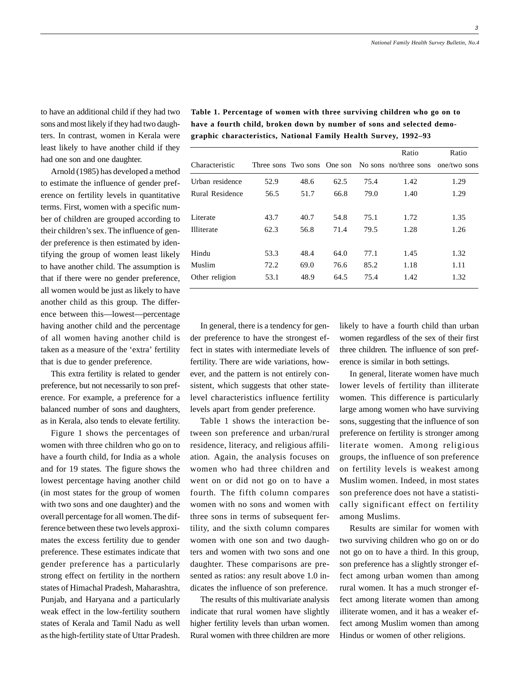Ratio Ratio

to have an additional child if they had two sons and most likely if they had two daughters. In contrast, women in Kerala were least likely to have another child if they had one son and one daughter.

Arnold (1985) has developed a method to estimate the influence of gender preference on fertility levels in quantitative terms. First, women with a specific number of children are grouped according to their children's sex. The influence of gender preference is then estimated by identifying the group of women least likely to have another child. The assumption is that if there were no gender preference, all women would be just as likely to have another child as this group. The difference between this—lowest—percentage having another child and the percentage of all women having another child is taken as a measure of the 'extra' fertility that is due to gender preference.

This extra fertility is related to gender preference, but not necessarily to son preference. For example, a preference for a balanced number of sons and daughters, as in Kerala, also tends to elevate fertility.

Figure 1 shows the percentages of women with three children who go on to have a fourth child, for India as a whole and for 19 states. The figure shows the lowest percentage having another child (in most states for the group of women with two sons and one daughter) and the overall percentage for all women. The difference between these two levels approximates the excess fertility due to gender preference. These estimates indicate that gender preference has a particularly strong effect on fertility in the northern states of Himachal Pradesh, Maharashtra, Punjab, and Haryana and a particularly weak effect in the low-fertility southern states of Kerala and Tamil Nadu as well as the high-fertility state of Uttar Pradesh.

Urban residence 52.9 48.6 62.5 75.4 1.42 1.29 Rural Residence 56.5 51.7 66.8 79.0 1.40 1.29 Literate 43.7 40.7 54.8 75.1 1.72 1.35 Illiterate 62.3 56.8 71.4 79.5 1.28 1.26 Hindu 53.3 48.4 64.0 77.1 1.45 1.32

**Table 1. Percentage of women with three surviving children who go on to have a fourth child, broken down by number of sons and selected demographic characteristics, National Family Health Survey, 1992–93**

Characteristic Three sons Two sons One son No sons no/three sons one/two sons

Muslim 72.2 69.0 76.6 85.2 1.18 1.11 Other religion 53.1 48.9 64.5 75.4 1.42 1.32

In general, there is a tendency for gender preference to have the strongest effect in states with intermediate levels of fertility. There are wide variations, however, and the pattern is not entirely consistent, which suggests that other statelevel characteristics influence fertility levels apart from gender preference.

Table 1 shows the interaction between son preference and urban/rural residence, literacy, and religious affiliation. Again, the analysis focuses on women who had three children and went on or did not go on to have a fourth. The fifth column compares women with no sons and women with three sons in terms of subsequent fertility, and the sixth column compares women with one son and two daughters and women with two sons and one daughter. These comparisons are presented as ratios: any result above 1.0 indicates the influence of son preference.

The results of this multivariate analysis indicate that rural women have slightly higher fertility levels than urban women. Rural women with three children are more

likely to have a fourth child than urban women regardless of the sex of their first three children. The influence of son preference is similar in both settings.

In general, literate women have much lower levels of fertility than illiterate women. This difference is particularly large among women who have surviving sons, suggesting that the influence of son preference on fertility is stronger among literate women. Among religious groups, the influence of son preference on fertility levels is weakest among Muslim women. Indeed, in most states son preference does not have a statistically significant effect on fertility among Muslims.

Results are similar for women with two surviving children who go on or do not go on to have a third. In this group, son preference has a slightly stronger effect among urban women than among rural women. It has a much stronger effect among literate women than among illiterate women, and it has a weaker effect among Muslim women than among Hindus or women of other religions.